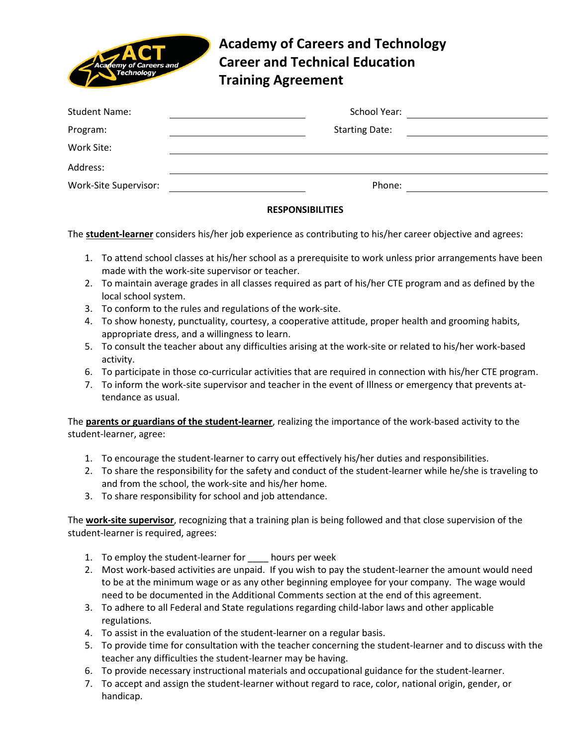

**Academy of Careers and Technology Career and Technical Education Training Agreement**

| <b>Student Name:</b>  | School Year:          |  |
|-----------------------|-----------------------|--|
| Program:              | <b>Starting Date:</b> |  |
| Work Site:            |                       |  |
| Address:              |                       |  |
| Work-Site Supervisor: | Phone:                |  |

## **RESPONSIBILITIES**

The **student-learner** considers his/her job experience as contributing to his/her career objective and agrees:

- 1. To attend school classes at his/her school as a prerequisite to work unless prior arrangements have been made with the work-site supervisor or teacher.
- 2. To maintain average grades in all classes required as part of his/her CTE program and as defined by the local school system.
- 3. To conform to the rules and regulations of the work-site.
- 4. To show honesty, punctuality, courtesy, a cooperative attitude, proper health and grooming habits, appropriate dress, and a willingness to learn.
- 5. To consult the teacher about any difficulties arising at the work-site or related to his/her work-based activity.
- 6. To participate in those co-curricular activities that are required in connection with his/her CTE program.
- 7. To inform the work-site supervisor and teacher in the event of Illness or emergency that prevents attendance as usual.

The **parents or guardians of the student-learner**, realizing the importance of the work-based activity to the student-learner, agree:

- 1. To encourage the student-learner to carry out effectively his/her duties and responsibilities.
- 2. To share the responsibility for the safety and conduct of the student-learner while he/she is traveling to and from the school, the work-site and his/her home.
- 3. To share responsibility for school and job attendance.

The **work-site supervisor**, recognizing that a training plan is being followed and that close supervision of the student-learner is required, agrees:

- 1. To employ the student-learner for hours per week
- 2. Most work-based activities are unpaid. If you wish to pay the student-learner the amount would need to be at the minimum wage or as any other beginning employee for your company. The wage would need to be documented in the Additional Comments section at the end of this agreement.
- 3. To adhere to all Federal and State regulations regarding child-labor laws and other applicable regulations.
- 4. To assist in the evaluation of the student-learner on a regular basis.
- 5. To provide time for consultation with the teacher concerning the student-learner and to discuss with the teacher any difficulties the student-learner may be having.
- 6. To provide necessary instructional materials and occupational guidance for the student-learner.
- 7. To accept and assign the student-learner without regard to race, color, national origin, gender, or handicap.